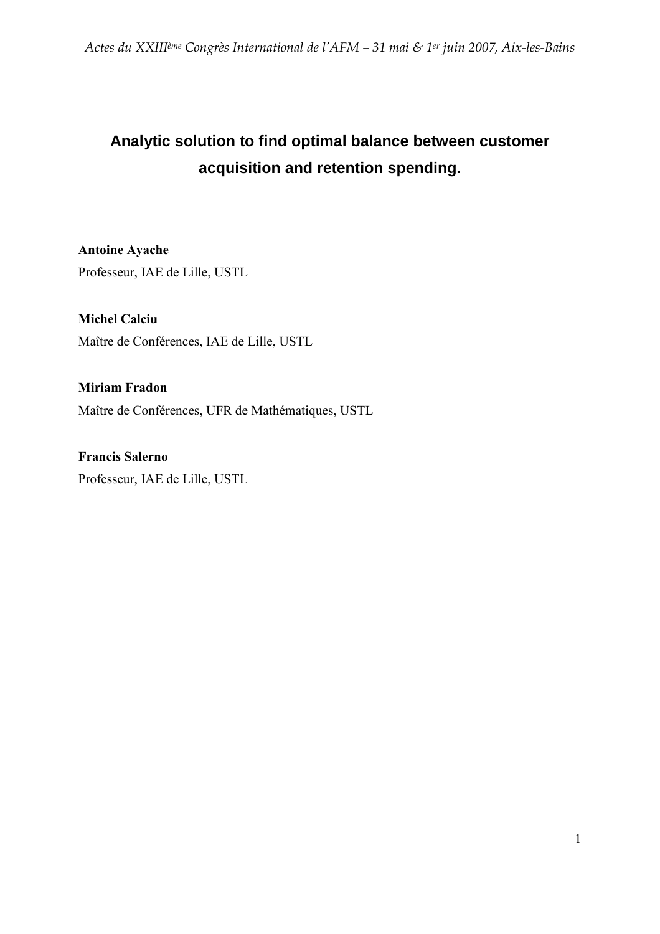# **Analytic solution to find optimal balance between customer acquisition and retention spending.**

Antoine Ayache Professeur, IAE de Lille, USTL

Michel Calciu Maître de Conférences, IAE de Lille, USTL

Miriam Fradon Maître de Conférences, UFR de Mathématiques, USTL

Francis Salerno Professeur, IAE de Lille, USTL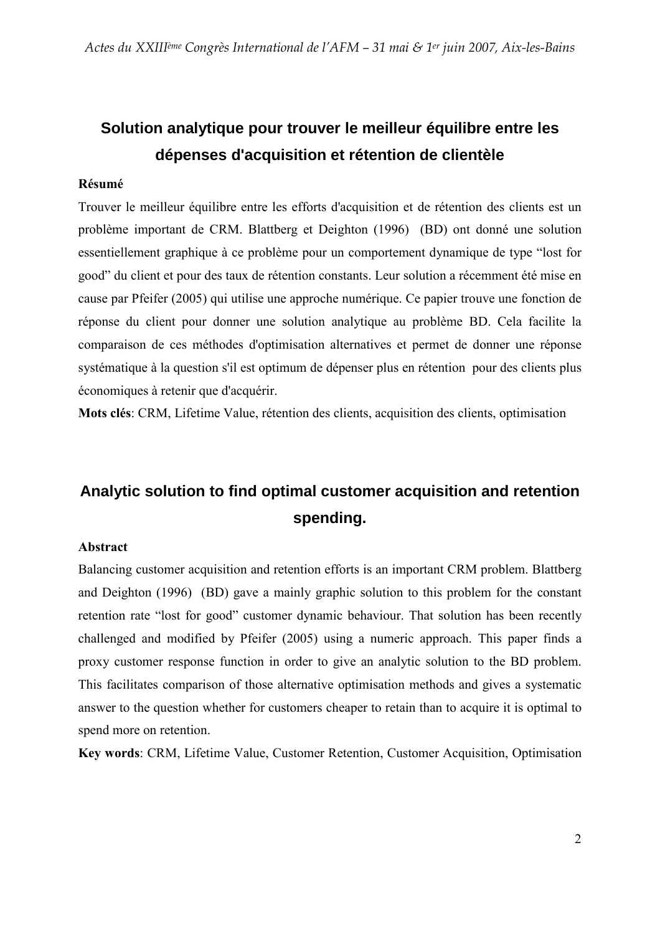# **Solution analytique pour trouver le meilleur équilibre entre les dépenses d'acquisition et rétention de clientèle**

### Résumé

Trouver le meilleur équilibre entre les efforts d'acquisition et de rétention des clients est un problème important de CRM. Blattberg et Deighton (1996) (BD) ont donné une solution essentiellement graphique à ce problème pour un comportement dynamique de type "lost for good" du client et pour des taux de rétention constants. Leur solution a récemment été mise en cause par Pfeifer (2005) qui utilise une approche numérique. Ce papier trouve une fonction de réponse du client pour donner une solution analytique au problème BD. Cela facilite la comparaison de ces méthodes d'optimisation alternatives et permet de donner une réponse systématique à la question s'il est optimum de dépenser plus en rétention pour des clients plus économiques à retenir que d'acquérir.

Mots clés: CRM, Lifetime Value, rétention des clients, acquisition des clients, optimisation

# **Analytic solution to find optimal customer acquisition and retention spending.**

### Abstract

Balancing customer acquisition and retention efforts is an important CRM problem. Blattberg and Deighton (1996) (BD) gave a mainly graphic solution to this problem for the constant retention rate "lost for good" customer dynamic behaviour. That solution has been recently challenged and modified by Pfeifer (2005) using a numeric approach. This paper finds a proxy customer response function in order to give an analytic solution to the BD problem. This facilitates comparison of those alternative optimisation methods and gives a systematic answer to the question whether for customers cheaper to retain than to acquire it is optimal to spend more on retention.

Key words: CRM, Lifetime Value, Customer Retention, Customer Acquisition, Optimisation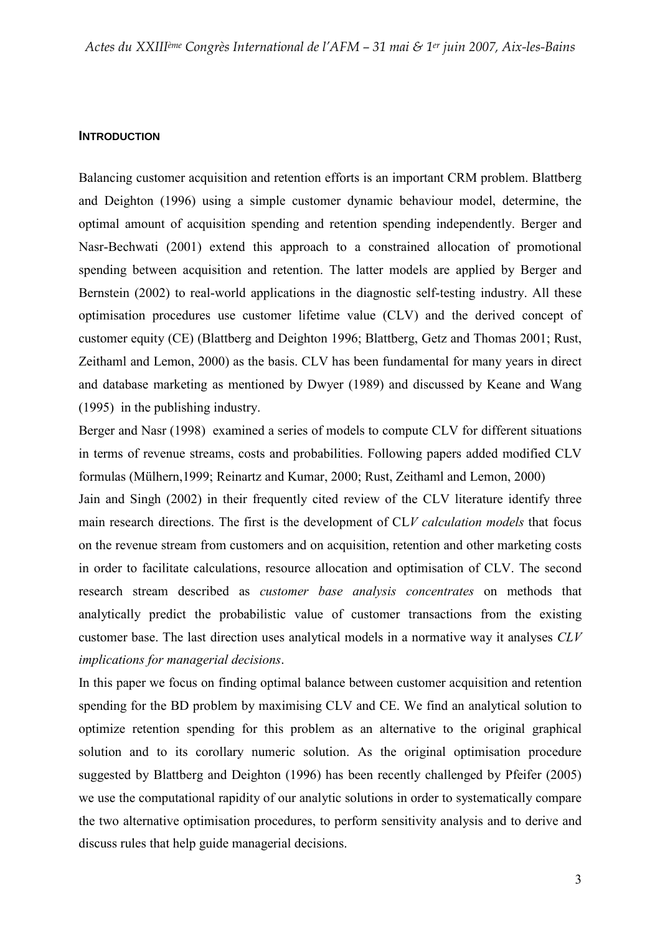#### **INTRODUCTION**

Balancing customer acquisition and retention efforts is an important CRM problem. Blattberg and Deighton (1996) using a simple customer dynamic behaviour model, determine, the optimal amount of acquisition spending and retention spending independently. Berger and Nasr-Bechwati (2001) extend this approach to a constrained allocation of promotional spending between acquisition and retention. The latter models are applied by Berger and Bernstein (2002) to real-world applications in the diagnostic self-testing industry. All these optimisation procedures use customer lifetime value (CLV) and the derived concept of customer equity (CE) (Blattberg and Deighton 1996; Blattberg, Getz and Thomas 2001; Rust, Zeithaml and Lemon, 2000) as the basis. CLV has been fundamental for many years in direct and database marketing as mentioned by Dwyer (1989) and discussed by Keane and Wang (1995) in the publishing industry.

Berger and Nasr (1998) examined a series of models to compute CLV for different situations in terms of revenue streams, costs and probabilities. Following papers added modified CLV formulas (Mülhern,1999; Reinartz and Kumar, 2000; Rust, Zeithaml and Lemon, 2000)

Jain and Singh (2002) in their frequently cited review of the CLV literature identify three main research directions. The first is the development of CLV calculation models that focus on the revenue stream from customers and on acquisition, retention and other marketing costs in order to facilitate calculations, resource allocation and optimisation of CLV. The second research stream described as customer base analysis concentrates on methods that analytically predict the probabilistic value of customer transactions from the existing customer base. The last direction uses analytical models in a normative way it analyses CLV implications for managerial decisions.

In this paper we focus on finding optimal balance between customer acquisition and retention spending for the BD problem by maximising CLV and CE. We find an analytical solution to optimize retention spending for this problem as an alternative to the original graphical solution and to its corollary numeric solution. As the original optimisation procedure suggested by Blattberg and Deighton (1996) has been recently challenged by Pfeifer (2005) we use the computational rapidity of our analytic solutions in order to systematically compare the two alternative optimisation procedures, to perform sensitivity analysis and to derive and discuss rules that help guide managerial decisions.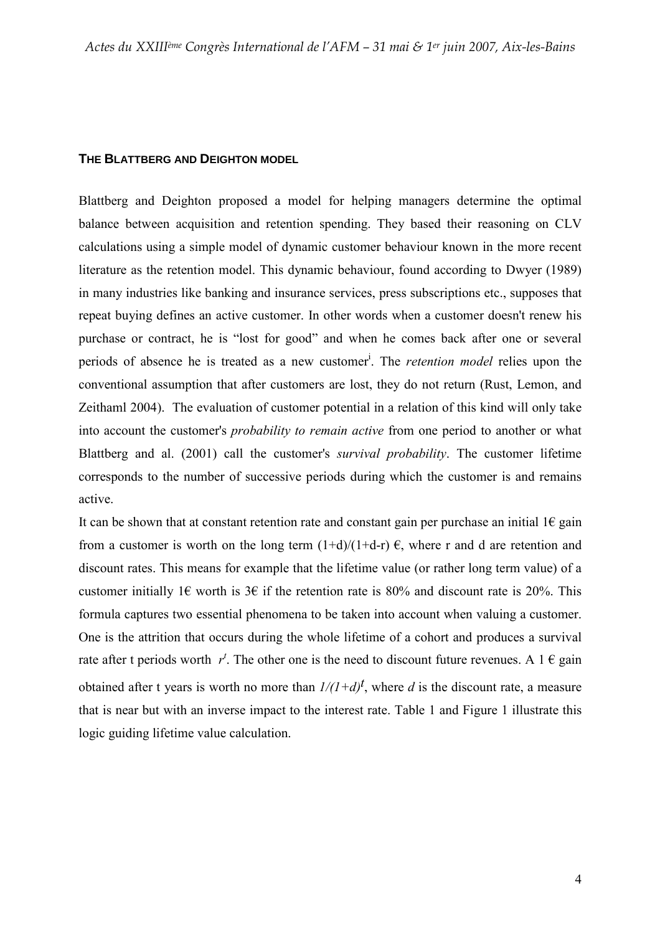#### **THE BLATTBERG AND DEIGHTON MODEL**

Blattberg and Deighton proposed a model for helping managers determine the optimal balance between acquisition and retention spending. They based their reasoning on CLV calculations using a simple model of dynamic customer behaviour known in the more recent literature as the retention model. This dynamic behaviour, found according to Dwyer (1989) in many industries like banking and insurance services, press subscriptions etc., supposes that repeat buying defines an active customer. In other words when a customer doesn't renew his purchase or contract, he is "lost for good" and when he comes back after one or several periods of absence he is treated as a new customer<sup>i</sup>. The *retention model* relies upon the conventional assumption that after customers are lost, they do not return (Rust, Lemon, and Zeithaml 2004). The evaluation of customer potential in a relation of this kind will only take into account the customer's probability to remain active from one period to another or what Blattberg and al. (2001) call the customer's survival probability. The customer lifetime corresponds to the number of successive periods during which the customer is and remains active.

It can be shown that at constant retention rate and constant gain per purchase an initial  $1 \in$  gain from a customer is worth on the long term  $(1+d)/(1+d-r) \in$ , where r and d are retention and discount rates. This means for example that the lifetime value (or rather long term value) of a customer initially 1€ worth is 3€ if the retention rate is 80% and discount rate is 20%. This formula captures two essential phenomena to be taken into account when valuing a customer. One is the attrition that occurs during the whole lifetime of a cohort and produces a survival rate after t periods worth  $r^t$ . The other one is the need to discount future revenues. A 1  $\epsilon$  gain obtained after t years is worth no more than  $1/(1+d)^t$ , where d is the discount rate, a measure that is near but with an inverse impact to the interest rate. Table 1 and Figure 1 illustrate this logic guiding lifetime value calculation.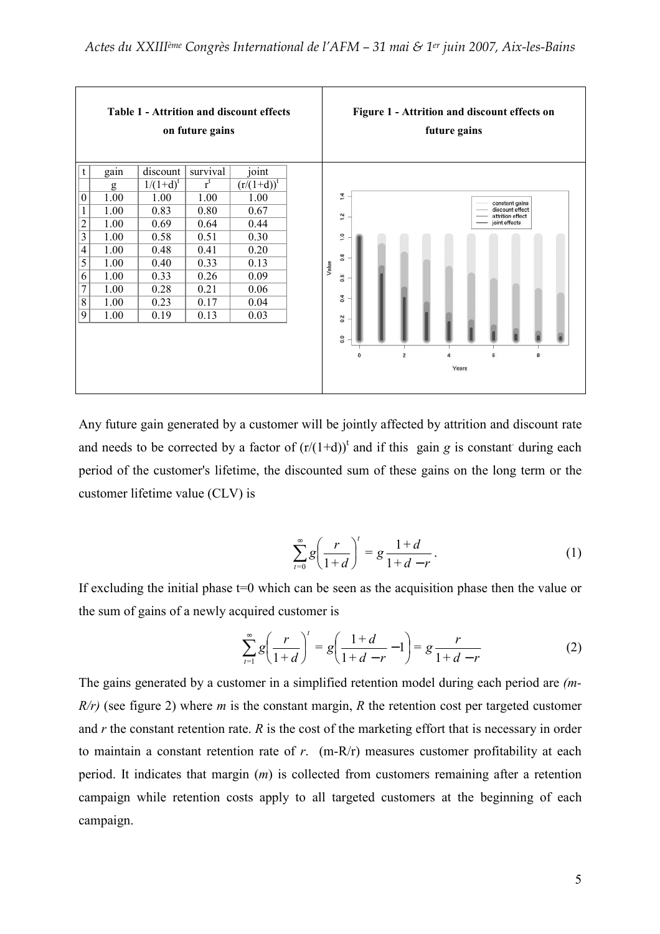

Any future gain generated by a customer will be jointly affected by attrition and discount rate and needs to be corrected by a factor of  $(r/(1+d))^t$  and if this gain g is constant during each period of the customer's lifetime, the discounted sum of these gains on the long term or the customer lifetime value (CLV) is

$$
\sum_{t=0}^{\infty} g \left( \frac{r}{1+d} \right)^t = g \frac{1+d}{1+d-r}.
$$
 (1)

If excluding the initial phase  $t=0$  which can be seen as the acquisition phase then the value or the sum of gains of a newly acquired customer is

$$
\sum_{t=1}^{\infty} g\left(\frac{r}{1+d}\right)^t = g\left(\frac{1+d}{1+d-r} - 1\right) = g\frac{r}{1+d-r}
$$
 (2)

The gains generated by a customer in a simplified retention model during each period are (m- $R/r$ ) (see figure 2) where *m* is the constant margin, *R* the retention cost per targeted customer and  $r$  the constant retention rate.  $R$  is the cost of the marketing effort that is necessary in order to maintain a constant retention rate of  $r$ . (m-R/r) measures customer profitability at each period. It indicates that margin (m) is collected from customers remaining after a retention campaign while retention costs apply to all targeted customers at the beginning of each campaign.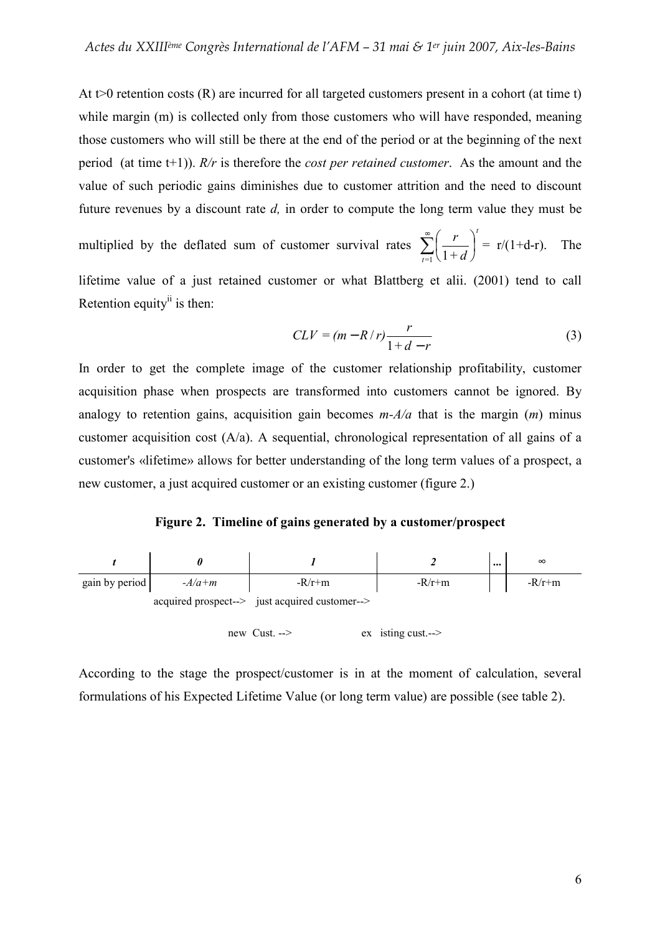At  $t>0$  retention costs (R) are incurred for all targeted customers present in a cohort (at time t) while margin (m) is collected only from those customers who will have responded, meaning those customers who will still be there at the end of the period or at the beginning of the next period (at time t+1)).  $R/r$  is therefore the *cost per retained customer*. As the amount and the value of such periodic gains diminishes due to customer attrition and the need to discount future revenues by a discount rate  $d$ , in order to compute the long term value they must be

multiplied by the deflated sum of customer survival rates  $\sum_{n=1}^{\infty} \left( \frac{r}{1+r^2} \right)^n$ J  $\left(\frac{r}{r}\right)$ l ſ  $\sum_{t=1}$   $\left(1\right)$ t  $+ d$  $\left(\frac{r}{r}\right)^{1} = r/(1+d-r)$ . The

lifetime value of a just retained customer or what Blattberg et alii. (2001) tend to call Retention equity $\mathbf{u}$  is then:

$$
CLV = (m - R/r)\frac{r}{1 + d - r}
$$
 (3)

In order to get the complete image of the customer relationship profitability, customer acquisition phase when prospects are transformed into customers cannot be ignored. By analogy to retention gains, acquisition gain becomes  $m-A/a$  that is the margin  $(m)$  minus customer acquisition cost (A/a). A sequential, chronological representation of all gains of a customer's «lifetime» allows for better understanding of the long term values of a prospect, a new customer, a just acquired customer or an existing customer (figure 2.)

Figure 2. Timeline of gains generated by a customer/prospect



According to the stage the prospect/customer is in at the moment of calculation, several formulations of his Expected Lifetime Value (or long term value) are possible (see table 2).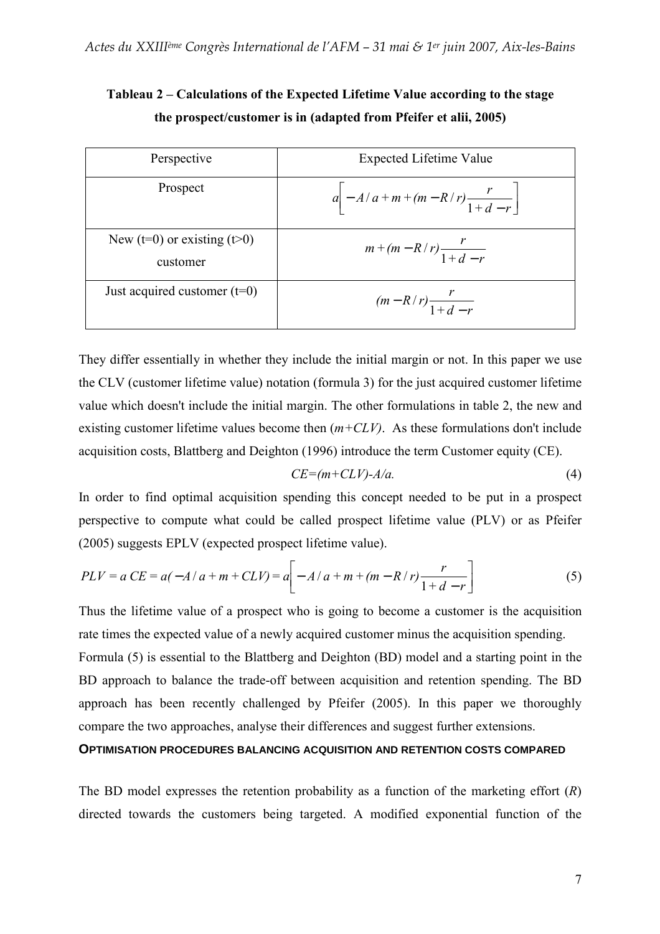| Perspective                                     | Expected Lifetime Value                   |
|-------------------------------------------------|-------------------------------------------|
| Prospect                                        | $a - A/a + m + (m - R/r) \frac{r}{1+d-r}$ |
| New ( $t=0$ ) or existing ( $t>0$ )<br>customer | $m + (m - R/r) \frac{r}{1+d-r}$           |
| Just acquired customer $(t=0)$                  | $(m - R/r) \frac{r}{1+d-r}$               |

Tableau 2 – Calculations of the Expected Lifetime Value according to the stage the prospect/customer is in (adapted from Pfeifer et alii, 2005)

They differ essentially in whether they include the initial margin or not. In this paper we use the CLV (customer lifetime value) notation (formula 3) for the just acquired customer lifetime value which doesn't include the initial margin. The other formulations in table 2, the new and existing customer lifetime values become then  $(m+CLV)$ . As these formulations don't include acquisition costs, Blattberg and Deighton (1996) introduce the term Customer equity (CE).

$$
CE = (m + CLV) - A/a.
$$
 (4)

In order to find optimal acquisition spending this concept needed to be put in a prospect perspective to compute what could be called prospect lifetime value (PLV) or as Pfeifer (2005) suggests EPLV (expected prospect lifetime value).

$$
PLV = a CE = a(-A/a + m + CLV) = a\bigg[ -A/a + m + (m - R/r)\frac{r}{1+d-r} \bigg]
$$
(5)

Thus the lifetime value of a prospect who is going to become a customer is the acquisition rate times the expected value of a newly acquired customer minus the acquisition spending.

Formula (5) is essential to the Blattberg and Deighton (BD) model and a starting point in the BD approach to balance the trade-off between acquisition and retention spending. The BD approach has been recently challenged by Pfeifer (2005). In this paper we thoroughly compare the two approaches, analyse their differences and suggest further extensions.

## **OPTIMISATION PROCEDURES BALANCING ACQUISITION AND RETENTION COSTS COMPARED**

The BD model expresses the retention probability as a function of the marketing effort  $(R)$ directed towards the customers being targeted. A modified exponential function of the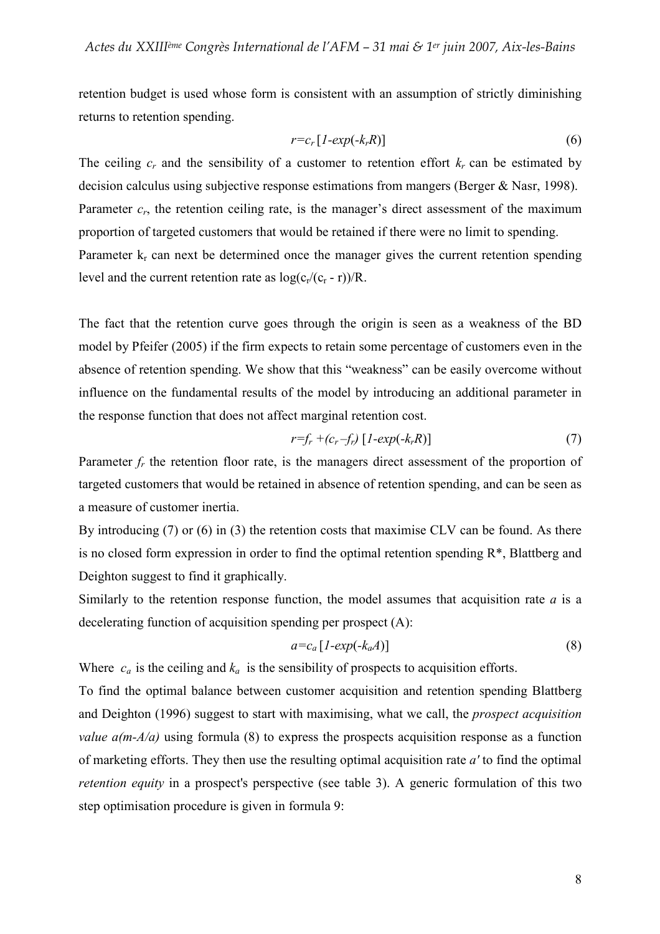retention budget is used whose form is consistent with an assumption of strictly diminishing returns to retention spending.

$$
r = c_r [1 - exp(-k_r R)] \tag{6}
$$

The ceiling  $c_r$  and the sensibility of a customer to retention effort  $k_r$  can be estimated by decision calculus using subjective response estimations from mangers (Berger & Nasr, 1998). Parameter  $c_r$ , the retention ceiling rate, is the manager's direct assessment of the maximum proportion of targeted customers that would be retained if there were no limit to spending. Parameter  $k_r$  can next be determined once the manager gives the current retention spending level and the current retention rate as  $log(c_r/(c_r - r))/R$ .

The fact that the retention curve goes through the origin is seen as a weakness of the BD model by Pfeifer (2005) if the firm expects to retain some percentage of customers even in the absence of retention spending. We show that this "weakness" can be easily overcome without influence on the fundamental results of the model by introducing an additional parameter in the response function that does not affect marginal retention cost.

$$
r=f_r+(c_r-f_r)[1-exp(-k_rR)] \qquad \qquad (7)
$$

Parameter  $f_r$  the retention floor rate, is the managers direct assessment of the proportion of targeted customers that would be retained in absence of retention spending, and can be seen as a measure of customer inertia.

By introducing (7) or (6) in (3) the retention costs that maximise CLV can be found. As there is no closed form expression in order to find the optimal retention spending  $R^*$ , Blattberg and Deighton suggest to find it graphically.

Similarly to the retention response function, the model assumes that acquisition rate  $a$  is a decelerating function of acquisition spending per prospect (A):

$$
a = c_a [1 - exp(-k_a A)] \tag{8}
$$

Where  $c_a$  is the ceiling and  $k_a$  is the sensibility of prospects to acquisition efforts.

To find the optimal balance between customer acquisition and retention spending Blattberg and Deighton (1996) suggest to start with maximising, what we call, the prospect acquisition *value*  $a(m-A/a)$  using formula (8) to express the prospects acquisition response as a function of marketing efforts. They then use the resulting optimal acquisition rate  $a'$  to find the optimal retention equity in a prospect's perspective (see table 3). A generic formulation of this two step optimisation procedure is given in formula 9: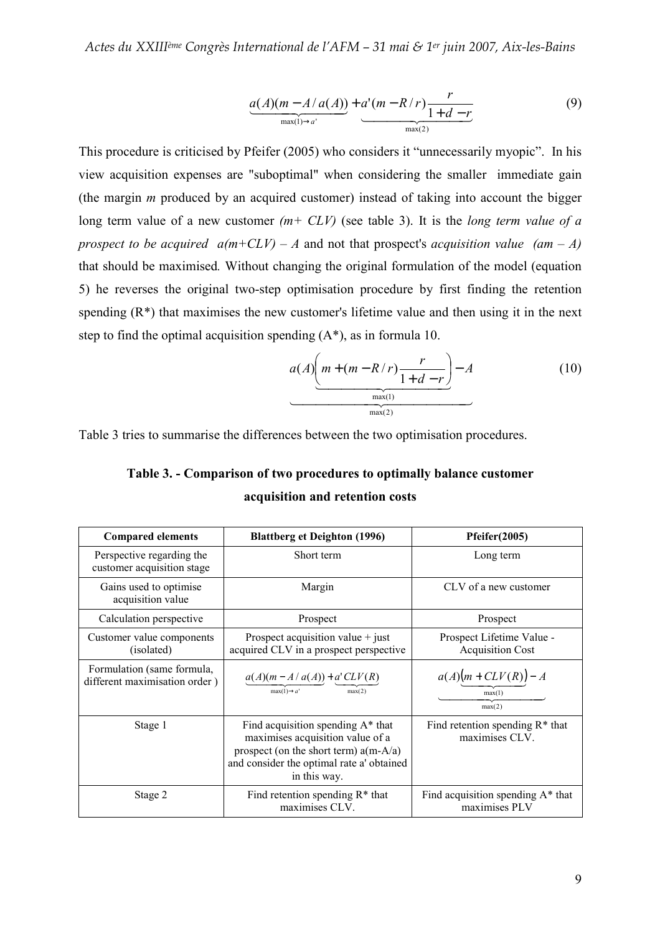$$
\underbrace{a(A)(m-A/a(A))}_{\max(I)\to a'} + \underbrace{a'(m-R/r)}_{\max(2)} \underbrace{r}_{1+d-r}
$$
(9)

This procedure is criticised by Pfeifer (2005) who considers it "unnecessarily myopic". In his view acquisition expenses are "suboptimal" when considering the smaller immediate gain (the margin  $m$  produced by an acquired customer) instead of taking into account the bigger long term value of a new customer  $(m+ CLV)$  (see table 3). It is the *long term value of a* prospect to be acquired  $a(m+CLV) - A$  and not that prospect's acquisition value  $(am - A)$ that should be maximised. Without changing the original formulation of the model (equation 5) he reverses the original two-step optimisation procedure by first finding the retention spending  $(R^*)$  that maximises the new customer's lifetime value and then using it in the next step to find the optimal acquisition spending (A\*), as in formula 10.

$$
a(A)\underbrace{\left(m + (m - R/r)\frac{r}{1 + d - r}\right)}_{\text{max}(1)} - A
$$
\n(10)

Table 3 tries to summarise the differences between the two optimisation procedures.

Table 3. - Comparison of two procedures to optimally balance customer acquisition and retention costs

| <b>Compared elements</b>                                    | <b>Blattberg et Deighton (1996)</b>                                                                                                                                              | Pfeifer(2005)                                        |  |
|-------------------------------------------------------------|----------------------------------------------------------------------------------------------------------------------------------------------------------------------------------|------------------------------------------------------|--|
| Perspective regarding the<br>customer acquisition stage     | Short term                                                                                                                                                                       | Long term                                            |  |
| Gains used to optimise<br>acquisition value                 | Margin                                                                                                                                                                           | CLV of a new customer                                |  |
| Calculation perspective                                     | Prospect                                                                                                                                                                         | Prospect                                             |  |
| Customer value components<br>(isolated)                     | Prospect acquisition value $+$ just<br>acquired CLV in a prospect perspective                                                                                                    | Prospect Lifetime Value -<br><b>Acquisition Cost</b> |  |
| Formulation (same formula,<br>different maximisation order) | $a(A)(m - A/a(A)) + a' CLV(R)$<br>$max(1) \rightarrow a'$<br>max(2)                                                                                                              | $a(A)(m+CLV(R))-A$<br>max(1)<br>max(2)               |  |
| Stage 1                                                     | Find acquisition spending $A^*$ that<br>maximises acquisition value of a<br>prospect (on the short term) $a(m-A/a)$<br>and consider the optimal rate a' obtained<br>in this way. | Find retention spending $R^*$ that<br>maximises CLV. |  |
| Stage 2                                                     | Find retention spending $R^*$ that<br>maximises CLV.                                                                                                                             | Find acquisition spending A* that<br>maximises PLV   |  |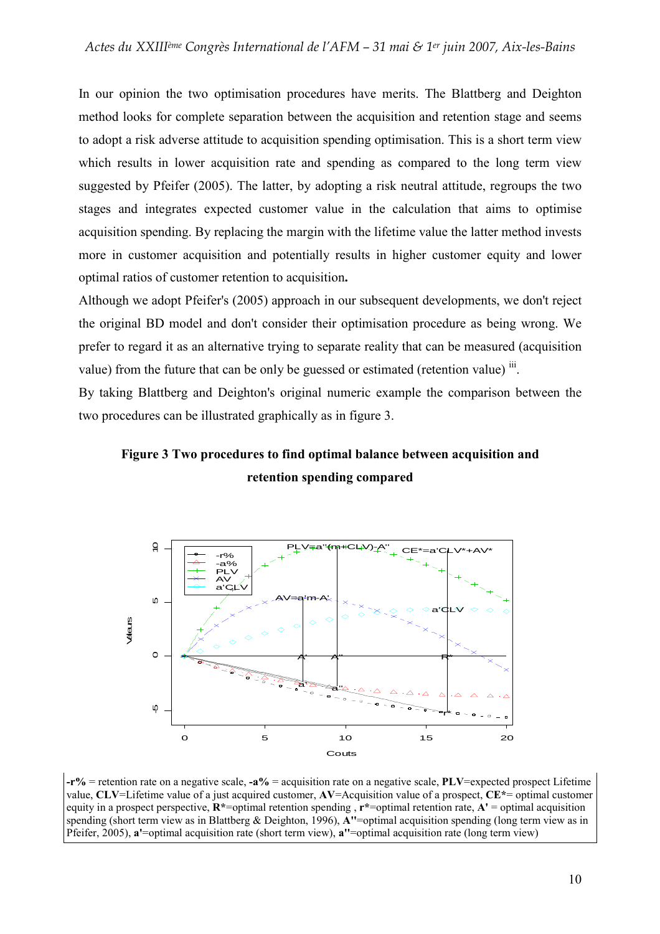In our opinion the two optimisation procedures have merits. The Blattberg and Deighton method looks for complete separation between the acquisition and retention stage and seems to adopt a risk adverse attitude to acquisition spending optimisation. This is a short term view which results in lower acquisition rate and spending as compared to the long term view suggested by Pfeifer (2005). The latter, by adopting a risk neutral attitude, regroups the two stages and integrates expected customer value in the calculation that aims to optimise acquisition spending. By replacing the margin with the lifetime value the latter method invests more in customer acquisition and potentially results in higher customer equity and lower optimal ratios of customer retention to acquisition.

Although we adopt Pfeifer's (2005) approach in our subsequent developments, we don't reject the original BD model and don't consider their optimisation procedure as being wrong. We prefer to regard it as an alternative trying to separate reality that can be measured (acquisition value) from the future that can be only be guessed or estimated (retention value)  $\ddot{\text{iii}}$ .

By taking Blattberg and Deighton's original numeric example the comparison between the two procedures can be illustrated graphically as in figure 3.





 $-r\%$  = retention rate on a negative scale,  $-a\%$  = acquisition rate on a negative scale, PLV=expected prospect Lifetime value, CLV=Lifetime value of a just acquired customer, AV=Acquisition value of a prospect, CE\*= optimal customer equity in a prospect perspective,  $\mathbf{R}^*$ =optimal retention spending ,  $\mathbf{r}^*$ =optimal retention rate,  $\mathbf{A}^*$  = optimal acquisition spending (short term view as in Blattberg & Deighton, 1996), A''=optimal acquisition spending (long term view as in Pfeifer, 2005), a'=optimal acquisition rate (short term view), a''=optimal acquisition rate (long term view)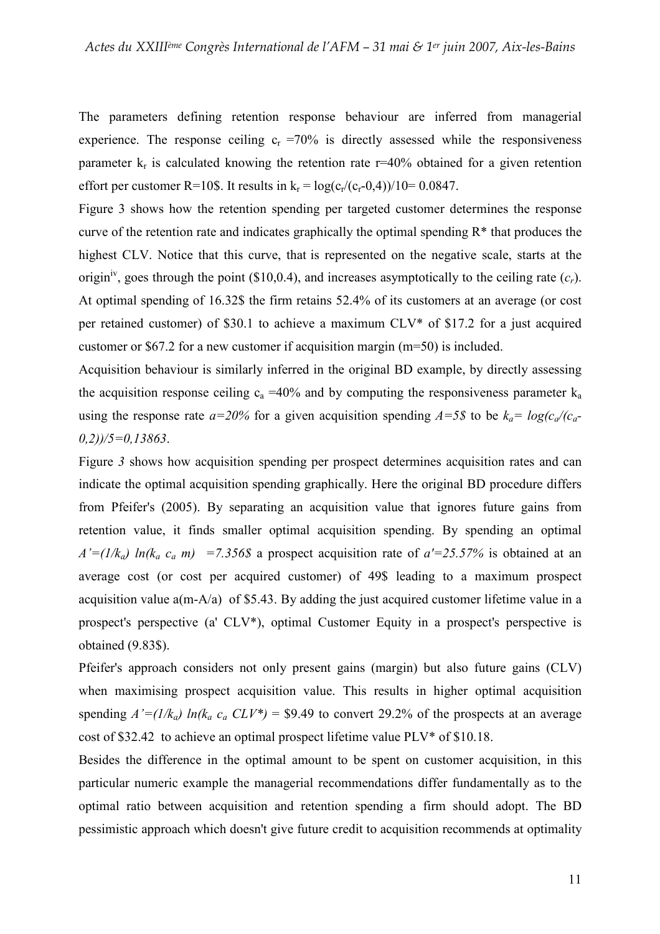The parameters defining retention response behaviour are inferred from managerial experience. The response ceiling  $c_r = 70\%$  is directly assessed while the responsiveness parameter  $k_r$  is calculated knowing the retention rate  $r=40\%$  obtained for a given retention effort per customer R=10\$. It results in  $k_r = log(c_r/(c_r-0.4))/10 = 0.0847$ .

Figure 3 shows how the retention spending per targeted customer determines the response curve of the retention rate and indicates graphically the optimal spending  $R^*$  that produces the highest CLV. Notice that this curve, that is represented on the negative scale, starts at the origin<sup>iv</sup>, goes through the point (\$10,0.4), and increases asymptotically to the ceiling rate  $(c_r)$ . At optimal spending of 16.32\$ the firm retains 52.4% of its customers at an average (or cost per retained customer) of \$30.1 to achieve a maximum CLV\* of \$17.2 for a just acquired customer or \$67.2 for a new customer if acquisition margin (m=50) is included.

Acquisition behaviour is similarly inferred in the original BD example, by directly assessing the acquisition response ceiling  $c_a = 40\%$  and by computing the responsiveness parameter  $k_a$ using the response rate  $a=20\%$  for a given acquisition spending  $A=5\$  to be  $k_a=log(c_a/(c_a (0,2)/5=0.13863$ .

Figure 3 shows how acquisition spending per prospect determines acquisition rates and can indicate the optimal acquisition spending graphically. Here the original BD procedure differs from Pfeifer's (2005). By separating an acquisition value that ignores future gains from retention value, it finds smaller optimal acquisition spending. By spending an optimal  $A'=(1/k_a) \ln(k_a \ c_a \ m)$  =7.356\$ a prospect acquisition rate of  $a'=25.57\%$  is obtained at an average cost (or cost per acquired customer) of 49\$ leading to a maximum prospect acquisition value a(m-A/a) of \$5.43. By adding the just acquired customer lifetime value in a prospect's perspective (a' CLV\*), optimal Customer Equity in a prospect's perspective is obtained (9.83\$).

Pfeifer's approach considers not only present gains (margin) but also future gains (CLV) when maximising prospect acquisition value. This results in higher optimal acquisition spending  $A'=(1/k_a) \ln(k_a \ c_a \ CLV^*) = $9.49$  to convert 29.2% of the prospects at an average cost of \$32.42 to achieve an optimal prospect lifetime value PLV\* of \$10.18.

Besides the difference in the optimal amount to be spent on customer acquisition, in this particular numeric example the managerial recommendations differ fundamentally as to the optimal ratio between acquisition and retention spending a firm should adopt. The BD pessimistic approach which doesn't give future credit to acquisition recommends at optimality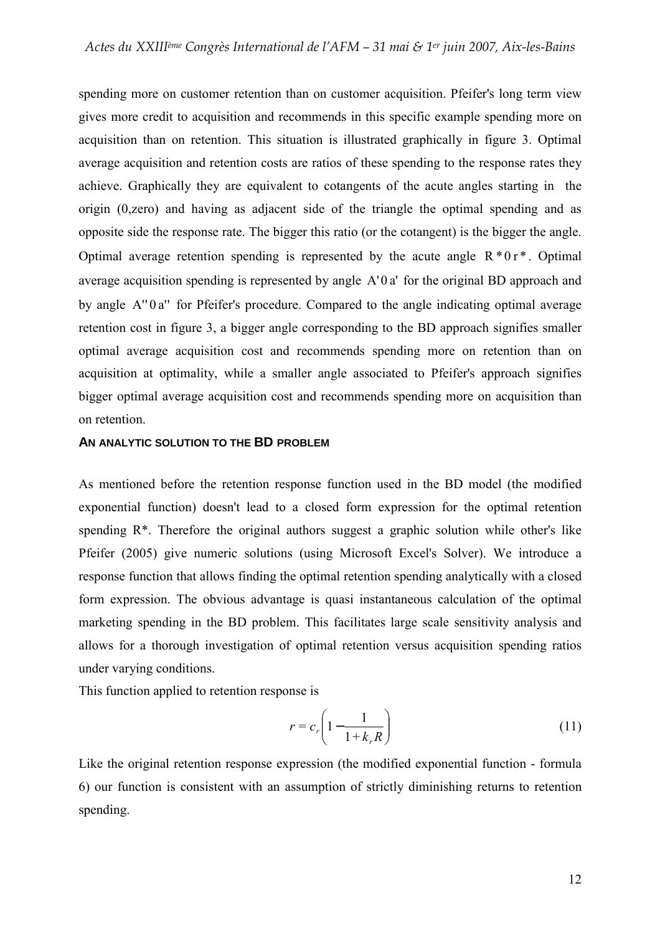spending more on customer retention than on customer acquisition. Pfeifer's long term view gives more credit to acquisition and recommends in this specific example spending more on acquisition than on retention. This situation is illustrated graphically in figure 3. Optimal average acquisition and retention costs are ratios of these spending to the response rates they achieve. Graphically they are equivalent to cotangents of the acute angles starting in the origin (0,zero) and having as adjacent side of the triangle the optimal spending and as opposite side the response rate. The bigger this ratio (or the cotangent) is the bigger the angle. Optimal average retention spending is represented by the acute angle  $R * 0r *$ . Optimal average acquisition spending is represented by angle  $A' 0 a'$  for the original BD approach and by angle  $A''0a''$  for Pfeifer's procedure. Compared to the angle indicating optimal average retention cost in figure 3, a bigger angle corresponding to the BD approach signifies smaller optimal average acquisition cost and recommends spending more on retention than on acquisition at optimality, while a smaller angle associated to Pfeifer's approach signifies bigger optimal average acquisition cost and recommends spending more on acquisition than on retention.

#### **AN ANALYTIC SOLUTION TO THE BD PROBLEM**

As mentioned before the retention response function used in the BD model (the modified exponential function) doesn't lead to a closed form expression for the optimal retention spending R\*. Therefore the original authors suggest a graphic solution while other's like Pfeifer (2005) give numeric solutions (using Microsoft Excel's Solver). We introduce a response function that allows finding the optimal retention spending analytically with a closed form expression. The obvious advantage is quasi instantaneous calculation of the optimal marketing spending in the BD problem. This facilitates large scale sensitivity analysis and allows for a thorough investigation of optimal retention versus acquisition spending ratios under varying conditions.

This function applied to retention response is

$$
r = c_r \left( 1 - \frac{1}{1 + k_r R} \right) \tag{11}
$$

Like the original retention response expression (the modified exponential function - formula 6) our function is consistent with an assumption of strictly diminishing returns to retention spending.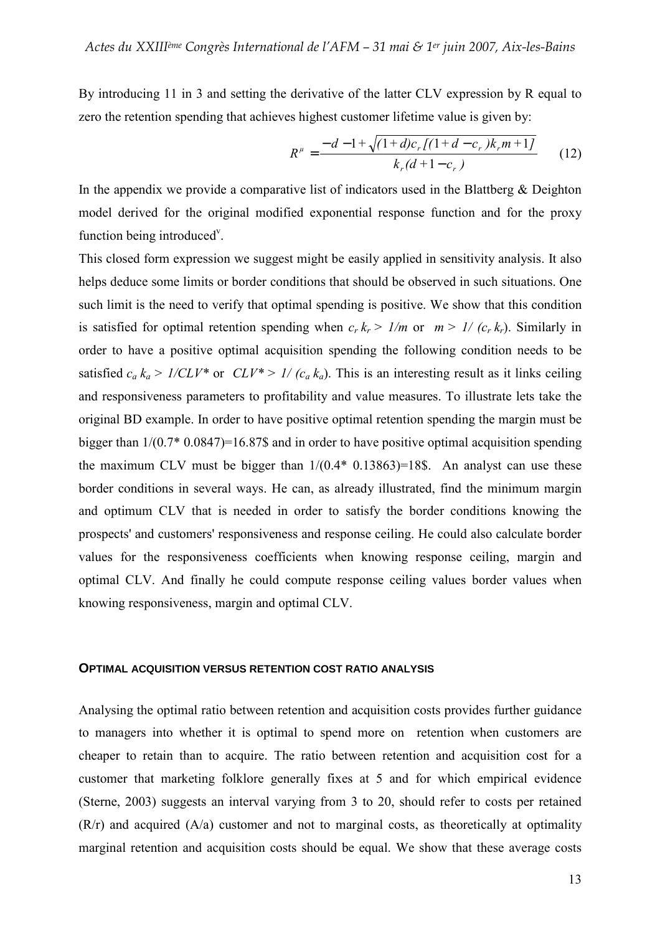By introducing 11 in 3 and setting the derivative of the latter CLV expression by R equal to zero the retention spending that achieves highest customer lifetime value is given by:

$$
R^{\mu} = \frac{-d - 1 + \sqrt{(1+d)c_r[(1+d-c_r)k_r m + 1]}}{k_r(d+1-c_r)}
$$
 (12)

In the appendix we provide a comparative list of indicators used in the Blattberg  $\&$  Deighton model derived for the original modified exponential response function and for the proxy function being introduced<sup>v</sup>.

This closed form expression we suggest might be easily applied in sensitivity analysis. It also helps deduce some limits or border conditions that should be observed in such situations. One such limit is the need to verify that optimal spending is positive. We show that this condition is satisfied for optimal retention spending when  $c_r k_r > 1/m$  or  $m > 1/(c_r k_r)$ . Similarly in order to have a positive optimal acquisition spending the following condition needs to be satisfied  $c_a k_a > 1/CLV^*$  or  $CLV^* > 1/(c_a k_a)$ . This is an interesting result as it links ceiling and responsiveness parameters to profitability and value measures. To illustrate lets take the original BD example. In order to have positive optimal retention spending the margin must be bigger than 1/(0.7\* 0.0847)=16.87\$ and in order to have positive optimal acquisition spending the maximum CLV must be bigger than  $1/(0.4*0.13863)=18\$ . An analyst can use these border conditions in several ways. He can, as already illustrated, find the minimum margin and optimum CLV that is needed in order to satisfy the border conditions knowing the prospects' and customers' responsiveness and response ceiling. He could also calculate border values for the responsiveness coefficients when knowing response ceiling, margin and optimal CLV. And finally he could compute response ceiling values border values when knowing responsiveness, margin and optimal CLV.

#### **OPTIMAL ACQUISITION VERSUS RETENTION COST RATIO ANALYSIS**

Analysing the optimal ratio between retention and acquisition costs provides further guidance to managers into whether it is optimal to spend more on retention when customers are cheaper to retain than to acquire. The ratio between retention and acquisition cost for a customer that marketing folklore generally fixes at 5 and for which empirical evidence (Sterne, 2003) suggests an interval varying from 3 to 20, should refer to costs per retained  $(R/r)$  and acquired  $(A/a)$  customer and not to marginal costs, as theoretically at optimality marginal retention and acquisition costs should be equal. We show that these average costs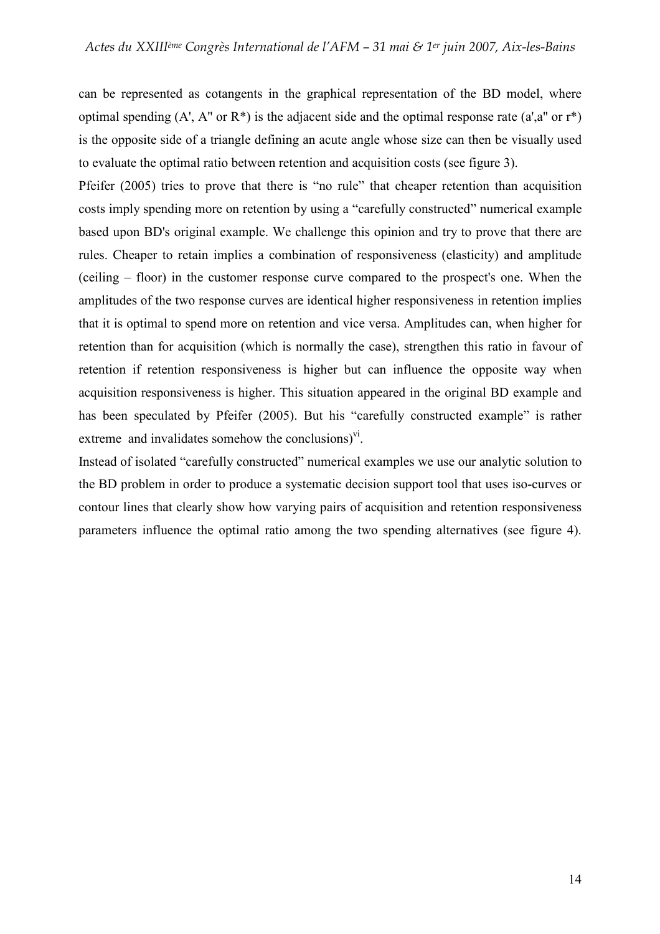can be represented as cotangents in the graphical representation of the BD model, where optimal spending  $(A', A''$  or  $R^*)$  is the adjacent side and the optimal response rate  $(a', a''$  or  $r^*)$ is the opposite side of a triangle defining an acute angle whose size can then be visually used to evaluate the optimal ratio between retention and acquisition costs (see figure 3).

Pfeifer (2005) tries to prove that there is "no rule" that cheaper retention than acquisition costs imply spending more on retention by using a "carefully constructed" numerical example based upon BD's original example. We challenge this opinion and try to prove that there are rules. Cheaper to retain implies a combination of responsiveness (elasticity) and amplitude (ceiling – floor) in the customer response curve compared to the prospect's one. When the amplitudes of the two response curves are identical higher responsiveness in retention implies that it is optimal to spend more on retention and vice versa. Amplitudes can, when higher for retention than for acquisition (which is normally the case), strengthen this ratio in favour of retention if retention responsiveness is higher but can influence the opposite way when acquisition responsiveness is higher. This situation appeared in the original BD example and has been speculated by Pfeifer (2005). But his "carefully constructed example" is rather extreme and invalidates somehow the conclusions) $v^i$ .

Instead of isolated "carefully constructed" numerical examples we use our analytic solution to the BD problem in order to produce a systematic decision support tool that uses iso-curves or contour lines that clearly show how varying pairs of acquisition and retention responsiveness parameters influence the optimal ratio among the two spending alternatives (see figure 4).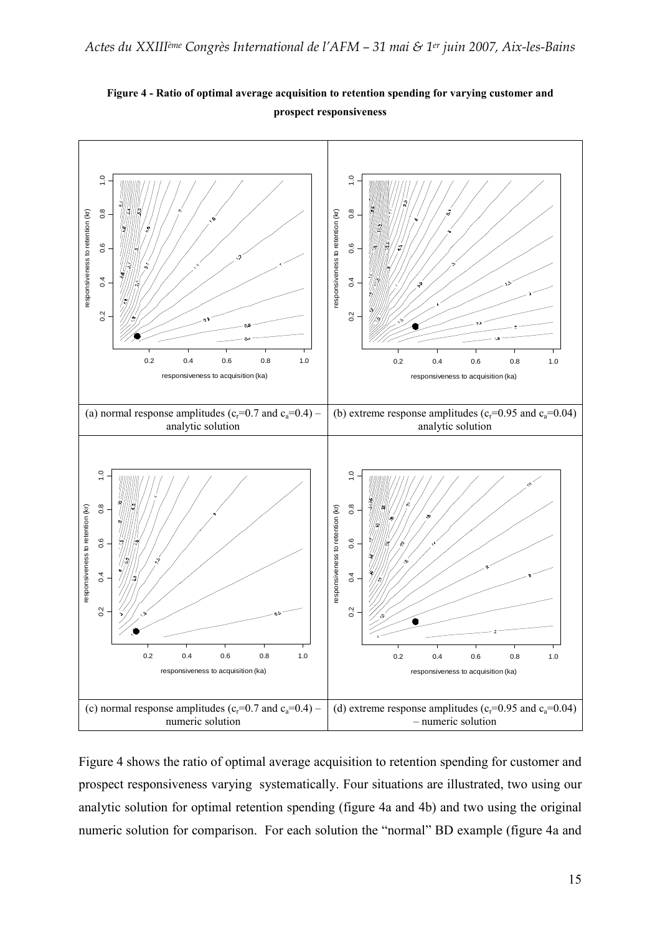

Figure 4 - Ratio of optimal average acquisition to retention spending for varying customer and prospect responsiveness

Figure 4 shows the ratio of optimal average acquisition to retention spending for customer and prospect responsiveness varying systematically. Four situations are illustrated, two using our analytic solution for optimal retention spending (figure 4a and 4b) and two using the original numeric solution for comparison. For each solution the "normal" BD example (figure 4a and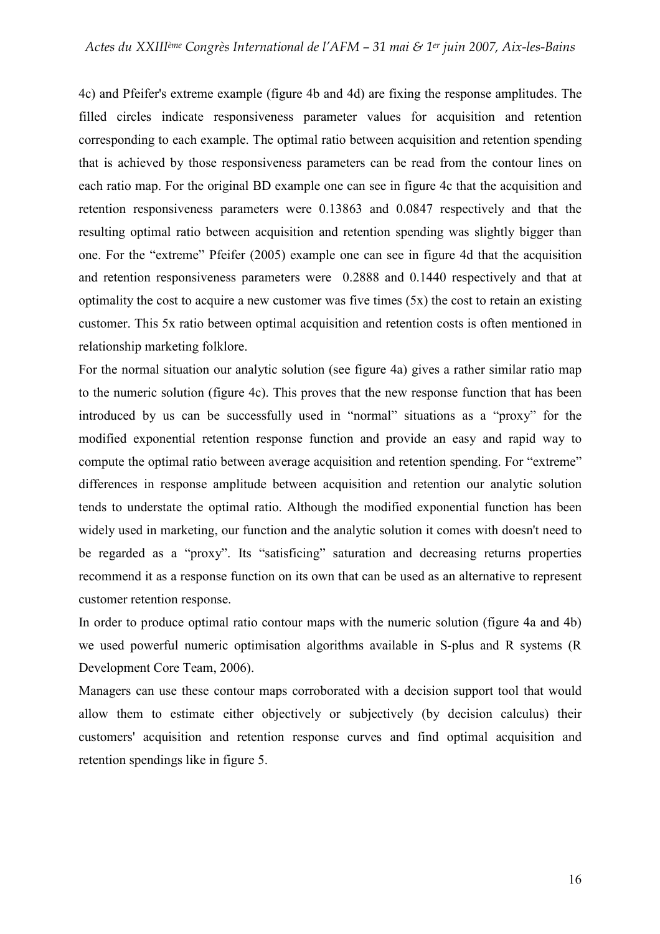4c) and Pfeifer's extreme example (figure 4b and 4d) are fixing the response amplitudes. The filled circles indicate responsiveness parameter values for acquisition and retention corresponding to each example. The optimal ratio between acquisition and retention spending that is achieved by those responsiveness parameters can be read from the contour lines on each ratio map. For the original BD example one can see in figure 4c that the acquisition and retention responsiveness parameters were 0.13863 and 0.0847 respectively and that the resulting optimal ratio between acquisition and retention spending was slightly bigger than one. For the "extreme" Pfeifer (2005) example one can see in figure 4d that the acquisition and retention responsiveness parameters were 0.2888 and 0.1440 respectively and that at optimality the cost to acquire a new customer was five times (5x) the cost to retain an existing customer. This 5x ratio between optimal acquisition and retention costs is often mentioned in relationship marketing folklore.

For the normal situation our analytic solution (see figure 4a) gives a rather similar ratio map to the numeric solution (figure 4c). This proves that the new response function that has been introduced by us can be successfully used in "normal" situations as a "proxy" for the modified exponential retention response function and provide an easy and rapid way to compute the optimal ratio between average acquisition and retention spending. For "extreme" differences in response amplitude between acquisition and retention our analytic solution tends to understate the optimal ratio. Although the modified exponential function has been widely used in marketing, our function and the analytic solution it comes with doesn't need to be regarded as a "proxy". Its "satisficing" saturation and decreasing returns properties recommend it as a response function on its own that can be used as an alternative to represent customer retention response.

In order to produce optimal ratio contour maps with the numeric solution (figure 4a and 4b) we used powerful numeric optimisation algorithms available in S-plus and R systems (R Development Core Team, 2006).

Managers can use these contour maps corroborated with a decision support tool that would allow them to estimate either objectively or subjectively (by decision calculus) their customers' acquisition and retention response curves and find optimal acquisition and retention spendings like in figure 5.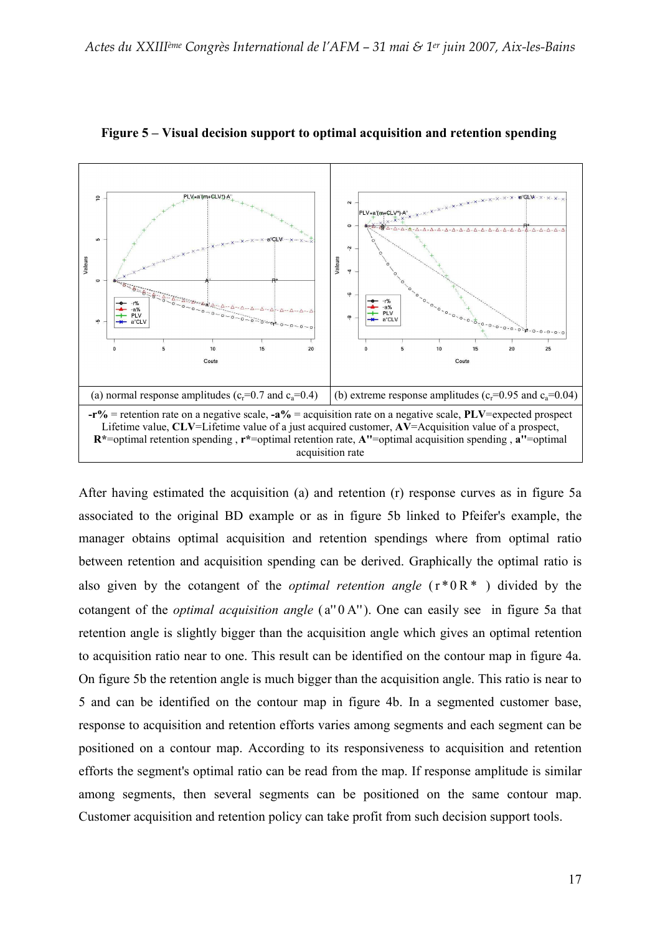

Figure 5 – Visual decision support to optimal acquisition and retention spending

After having estimated the acquisition (a) and retention (r) response curves as in figure 5a associated to the original BD example or as in figure 5b linked to Pfeifer's example, the manager obtains optimal acquisition and retention spendings where from optimal ratio between retention and acquisition spending can be derived. Graphically the optimal ratio is also given by the cotangent of the *optimal retention angle*  $(r * 0R^*)$  divided by the cotangent of the *optimal acquisition angle* ( $a''0 A''$ ). One can easily see in figure 5a that retention angle is slightly bigger than the acquisition angle which gives an optimal retention to acquisition ratio near to one. This result can be identified on the contour map in figure 4a. On figure 5b the retention angle is much bigger than the acquisition angle. This ratio is near to 5 and can be identified on the contour map in figure 4b. In a segmented customer base, response to acquisition and retention efforts varies among segments and each segment can be positioned on a contour map. According to its responsiveness to acquisition and retention efforts the segment's optimal ratio can be read from the map. If response amplitude is similar among segments, then several segments can be positioned on the same contour map. Customer acquisition and retention policy can take profit from such decision support tools.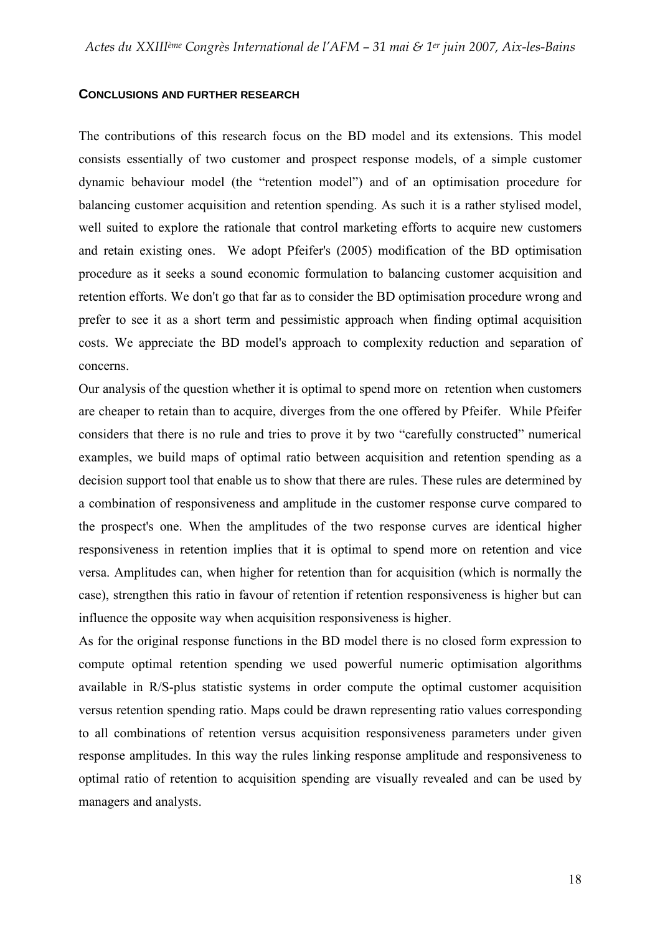#### **CONCLUSIONS AND FURTHER RESEARCH**

The contributions of this research focus on the BD model and its extensions. This model consists essentially of two customer and prospect response models, of a simple customer dynamic behaviour model (the "retention model") and of an optimisation procedure for balancing customer acquisition and retention spending. As such it is a rather stylised model, well suited to explore the rationale that control marketing efforts to acquire new customers and retain existing ones. We adopt Pfeifer's (2005) modification of the BD optimisation procedure as it seeks a sound economic formulation to balancing customer acquisition and retention efforts. We don't go that far as to consider the BD optimisation procedure wrong and prefer to see it as a short term and pessimistic approach when finding optimal acquisition costs. We appreciate the BD model's approach to complexity reduction and separation of concerns.

Our analysis of the question whether it is optimal to spend more on retention when customers are cheaper to retain than to acquire, diverges from the one offered by Pfeifer. While Pfeifer considers that there is no rule and tries to prove it by two "carefully constructed" numerical examples, we build maps of optimal ratio between acquisition and retention spending as a decision support tool that enable us to show that there are rules. These rules are determined by a combination of responsiveness and amplitude in the customer response curve compared to the prospect's one. When the amplitudes of the two response curves are identical higher responsiveness in retention implies that it is optimal to spend more on retention and vice versa. Amplitudes can, when higher for retention than for acquisition (which is normally the case), strengthen this ratio in favour of retention if retention responsiveness is higher but can influence the opposite way when acquisition responsiveness is higher.

As for the original response functions in the BD model there is no closed form expression to compute optimal retention spending we used powerful numeric optimisation algorithms available in R/S-plus statistic systems in order compute the optimal customer acquisition versus retention spending ratio. Maps could be drawn representing ratio values corresponding to all combinations of retention versus acquisition responsiveness parameters under given response amplitudes. In this way the rules linking response amplitude and responsiveness to optimal ratio of retention to acquisition spending are visually revealed and can be used by managers and analysts.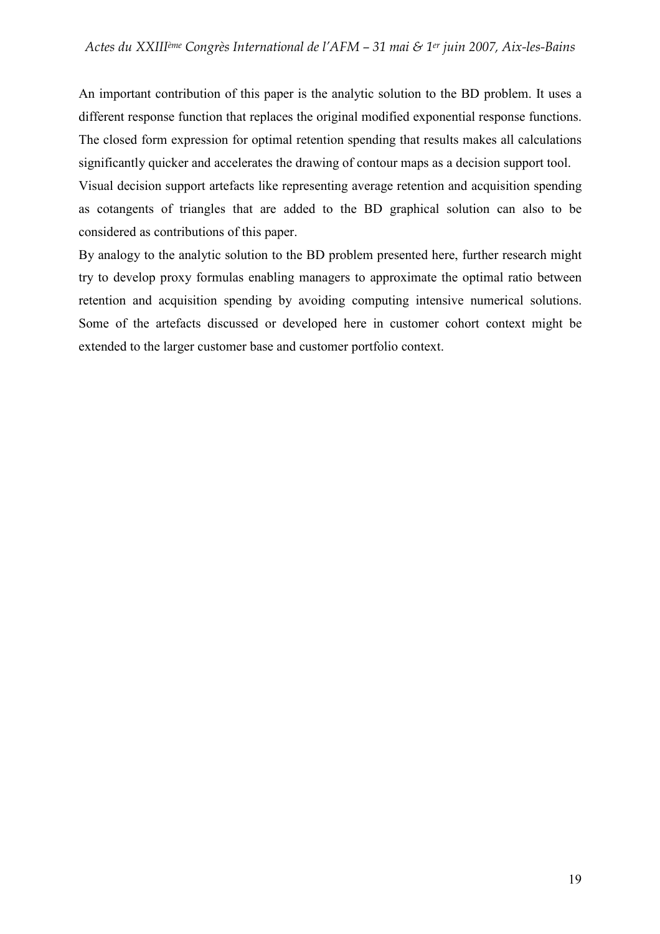An important contribution of this paper is the analytic solution to the BD problem. It uses a different response function that replaces the original modified exponential response functions. The closed form expression for optimal retention spending that results makes all calculations significantly quicker and accelerates the drawing of contour maps as a decision support tool.

Visual decision support artefacts like representing average retention and acquisition spending as cotangents of triangles that are added to the BD graphical solution can also to be considered as contributions of this paper.

By analogy to the analytic solution to the BD problem presented here, further research might try to develop proxy formulas enabling managers to approximate the optimal ratio between retention and acquisition spending by avoiding computing intensive numerical solutions. Some of the artefacts discussed or developed here in customer cohort context might be extended to the larger customer base and customer portfolio context.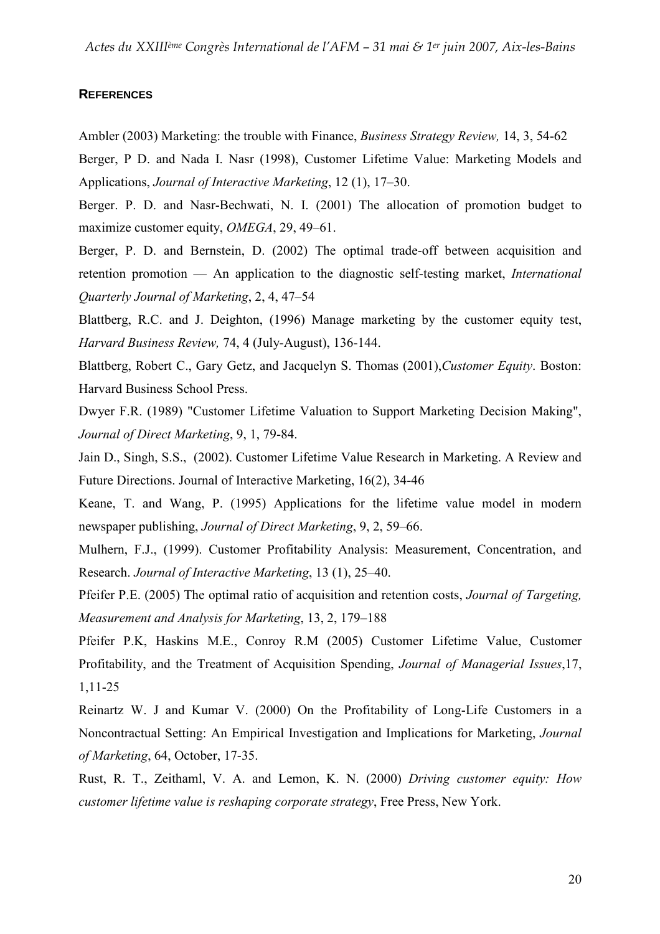### **REFERENCES**

Ambler (2003) Marketing: the trouble with Finance, Business Strategy Review, 14, 3, 54-62 Berger, P D. and Nada I. Nasr (1998), Customer Lifetime Value: Marketing Models and

Applications, Journal of Interactive Marketing, 12 (1), 17–30.

Berger. P. D. and Nasr-Bechwati, N. I. (2001) The allocation of promotion budget to maximize customer equity, *OMEGA*, 29, 49–61.

Berger, P. D. and Bernstein, D. (2002) The optimal trade-off between acquisition and retention promotion — An application to the diagnostic self-testing market, International Quarterly Journal of Marketing, 2, 4, 47–54

Blattberg, R.C. and J. Deighton, (1996) Manage marketing by the customer equity test, Harvard Business Review, 74, 4 (July-August), 136-144.

Blattberg, Robert C., Gary Getz, and Jacquelyn S. Thomas (2001),Customer Equity. Boston: Harvard Business School Press.

Dwyer F.R. (1989) "Customer Lifetime Valuation to Support Marketing Decision Making", Journal of Direct Marketing, 9, 1, 79-84.

Jain D., Singh, S.S., (2002). Customer Lifetime Value Research in Marketing. A Review and Future Directions. Journal of Interactive Marketing, 16(2), 34-46

Keane, T. and Wang, P. (1995) Applications for the lifetime value model in modern newspaper publishing, Journal of Direct Marketing, 9, 2, 59–66.

Mulhern, F.J., (1999). Customer Profitability Analysis: Measurement, Concentration, and Research. Journal of Interactive Marketing, 13 (1), 25–40.

Pfeifer P.E. (2005) The optimal ratio of acquisition and retention costs, Journal of Targeting, Measurement and Analysis for Marketing, 13, 2, 179–188

Pfeifer P.K, Haskins M.E., Conroy R.M (2005) Customer Lifetime Value, Customer Profitability, and the Treatment of Acquisition Spending, Journal of Managerial Issues,17, 1,11-25

Reinartz W. J and Kumar V. (2000) On the Profitability of Long-Life Customers in a Noncontractual Setting: An Empirical Investigation and Implications for Marketing, Journal of Marketing, 64, October, 17-35.

Rust, R. T., Zeithaml, V. A. and Lemon, K. N. (2000) Driving customer equity: How customer lifetime value is reshaping corporate strategy, Free Press, New York.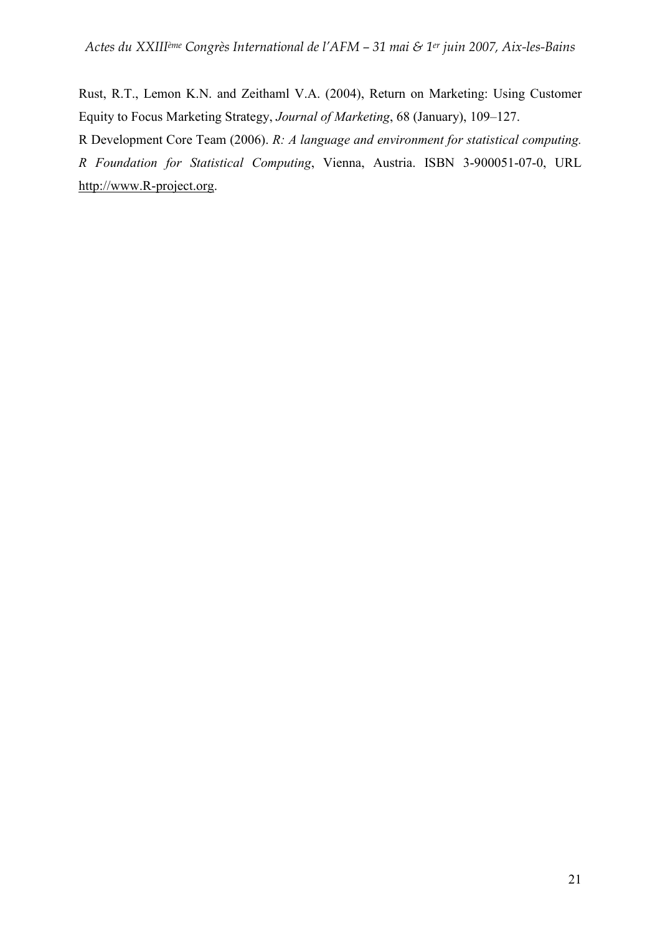Rust, R.T., Lemon K.N. and Zeithaml V.A. (2004), Return on Marketing: Using Customer Equity to Focus Marketing Strategy, Journal of Marketing, 68 (January), 109–127.

R Development Core Team (2006). R: A language and environment for statistical computing. R Foundation for Statistical Computing, Vienna, Austria. ISBN 3-900051-07-0, URL http://www.R-project.org.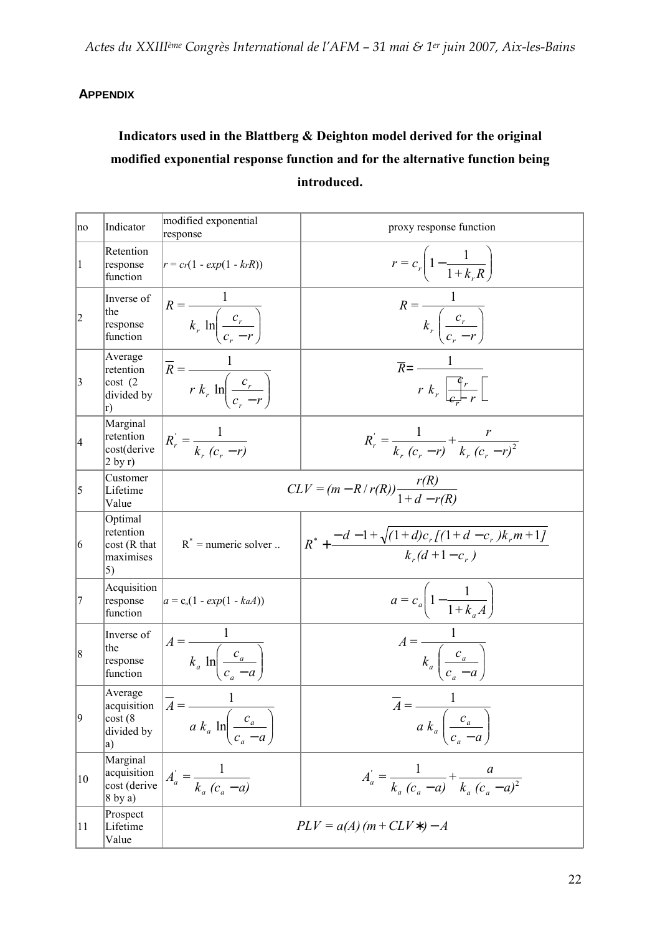# **APPENDIX**

# Indicators used in the Blattberg & Deighton model derived for the original modified exponential response function and for the alternative function being introduced.

| no          | Indicator                                                 | modified exponential<br>response                                                                 | proxy response function                                                        |
|-------------|-----------------------------------------------------------|--------------------------------------------------------------------------------------------------|--------------------------------------------------------------------------------|
| $\vert$ 1   | Retention<br>response<br>function                         | $r = cr(1 - exp(1 - krR))$                                                                       | $r = c_r \left( 1 - \frac{1}{1 + k_r R} \right)$                               |
| $ 2 \>$     | Inverse of<br>the<br>response<br>function                 | $R = \frac{1}{k_r \ln \left( \frac{c_r}{c_r - r} \right)}$                                       | $R = \frac{1}{k_r \left(\frac{c_r}{c_s - r}\right)}$                           |
| $ 3\rangle$ | Average<br>retention<br>cost(2)<br>divided by<br>r)       | $\overline{R} = \frac{1}{r k_r \ln\left(\frac{c_r}{c_r - r}\right)}$                             | $\overline{R} = \frac{1}{r k_r \left[\frac{\mathfrak{C}_r}{c+r}\right]}.$      |
| 4           | Marginal<br>retention<br>cost(derive<br>$2 \frac{by r}{}$ | $R_{r}^{'} = \frac{1}{k_{r} (c_{r} - r)}$                                                        | $R'_r = \frac{1}{k (c - r)} + \frac{r}{k (c - r)^2}$                           |
| 5           | Customer<br>Lifetime<br>Value                             | $CLV = (m - R/r(R)) \frac{r(r)}{1 + d - r(R)}$                                                   |                                                                                |
| 6           | Optimal<br>retention<br>cost(R that<br>maximises<br>5)    | $R^*$ = numeric solver                                                                           | $R^* + \frac{-d-1+\sqrt{(1+d)c_r\left[(1+d-c_r)k_r m+1\right]}}{k_r(d+1-c_r)}$ |
| 7           | Acquisition<br>response<br>function                       | $ a = c_a(1 - exp(1 - kaA)) $                                                                    | $a = c_a \left( 1 - \frac{1}{1 + k \cdot A} \right)$                           |
| 8           | Inverse of<br>the<br>response<br>function                 | $A = \frac{1}{k_a \ln\left(\frac{c_a}{c_a - a}\right)}$                                          | $A = \frac{1}{k_a \left( \frac{c_a}{c_a - a} \right)}$                         |
| $ 9\rangle$ | Average<br>acquisition<br>cost(8)<br>divided by<br>a)     | $\boxed{A} = \frac{1}{\sqrt{1 - \frac{1}{2}}}$<br>$a k_a \ln \left( \frac{c_a}{c_a - a} \right)$ | $\overline{A} = \frac{1}{a k_a \left(\frac{c_a}{c_a - a}\right)}$              |
| 10          | Marginal<br>acquisition<br>cost (derive<br>$8$ by a)      | $A_{a}^{'} = \frac{1}{k_{a} (c_{a} - a)}$                                                        | $A_a' = \frac{1}{k_a (c_a - a)} + \frac{a}{k_a (c_a - a)^2}$                   |
| 11          | Prospect<br>Lifetime<br>Value                             |                                                                                                  | $PLV = a(A)(m + CLV*) - A$                                                     |